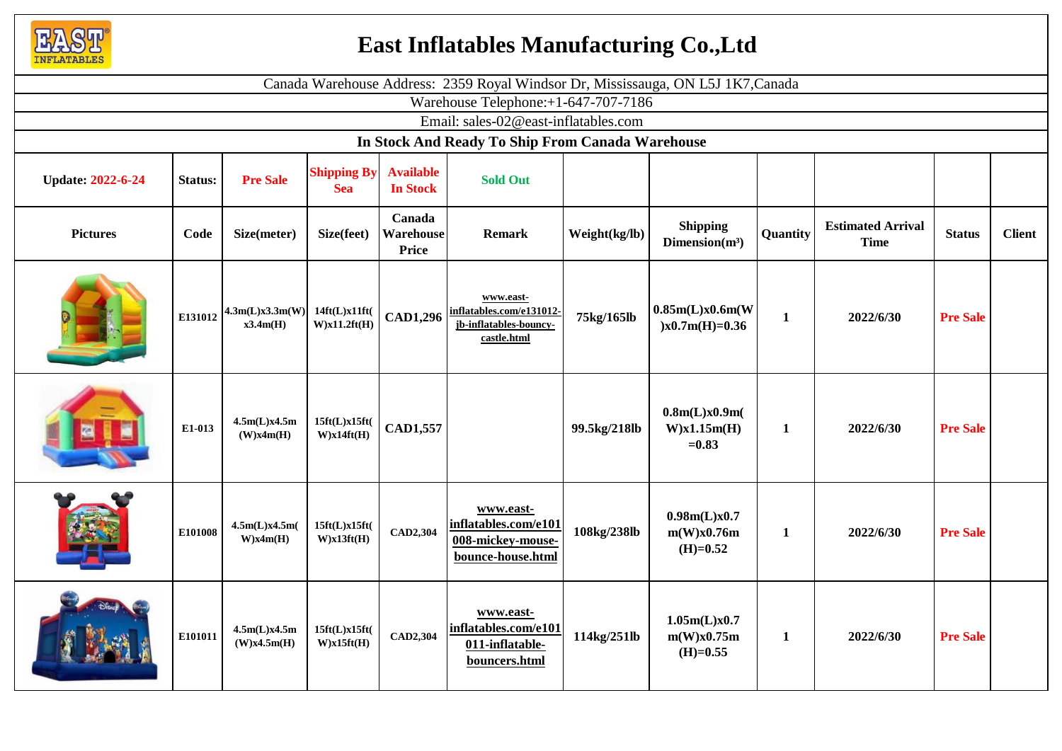

## **East Inflatables Manufacturing Co.,Ltd**

| Canada Warehouse Address: 2359 Royal Windsor Dr, Mississauga, ON L5J 1K7, Canada |         |                             |                                  |                                     |                                                                                |               |                                            |              |                                         |                 |               |
|----------------------------------------------------------------------------------|---------|-----------------------------|----------------------------------|-------------------------------------|--------------------------------------------------------------------------------|---------------|--------------------------------------------|--------------|-----------------------------------------|-----------------|---------------|
| Warehouse Telephone:+1-647-707-7186                                              |         |                             |                                  |                                     |                                                                                |               |                                            |              |                                         |                 |               |
| Email: sales-02@east-inflatables.com                                             |         |                             |                                  |                                     |                                                                                |               |                                            |              |                                         |                 |               |
| In Stock And Ready To Ship From Canada Warehouse                                 |         |                             |                                  |                                     |                                                                                |               |                                            |              |                                         |                 |               |
| <b>Update: 2022-6-24</b>                                                         | Status: | <b>Pre Sale</b>             | <b>Shipping By</b><br><b>Sea</b> | <b>Available</b><br><b>In Stock</b> | <b>Sold Out</b>                                                                |               |                                            |              |                                         |                 |               |
| <b>Pictures</b>                                                                  | Code    | Size(meter)                 | Size(feet)                       | Canada<br>Warehouse<br><b>Price</b> | <b>Remark</b>                                                                  | Weight(kg/lb) | <b>Shipping</b><br>Dimension $(m^3)$       | Quantity     | <b>Estimated Arrival</b><br><b>Time</b> | <b>Status</b>   | <b>Client</b> |
|                                                                                  | E131012 | 4.3m(L)x3.3m(W)<br>x3.4m(H) | 14ft(L)x11ft(<br>W)x11.2ft(H)    | <b>CAD1,296</b>                     | www.east-<br>inflatables.com/e131012-<br>jb-inflatables-bouncy-<br>castle.html | 75kg/165lb    | 0.85m(L)x0.6m(W)<br>$)x0.7m(H)=0.36$       | $\mathbf{1}$ | 2022/6/30                               | <b>Pre Sale</b> |               |
|                                                                                  | E1-013  | 4.5m(L)x4.5m<br>(W)x4m(H)   | 15ft(L)x15ft(<br>W)x14ft(H)      | CAD1,557                            |                                                                                | 99.5kg/218lb  | 0.8m(L)x0.9m(<br>$W$ )x1.15m(H)<br>$=0.83$ | $\mathbf{1}$ | 2022/6/30                               | <b>Pre Sale</b> |               |
|                                                                                  | E101008 | 4.5m(L)x4.5m(<br>W)x4m(H)   | 15ft(L)x15ft(<br>W)x13ft(H)      | CAD2,304                            | www.east-<br>inflatables.com/e101<br>008-mickey-mouse-<br>bounce-house.html    | 108kg/238lb   | 0.98m(L)x0.7<br>m(W)x0.76m<br>$(H)=0.52$   | $\mathbf{1}$ | 2022/6/30                               | <b>Pre Sale</b> |               |
|                                                                                  | E101011 | 4.5m(L)x4.5m<br>(W)x4.5m(H) | 15ft(L)x15ft(<br>W)x15ft(H)      | CAD2,304                            | www.east-<br>inflatables.com/e101<br>011-inflatable-<br>bouncers.html          | 114kg/251lb   | 1.05m(L)x0.7<br>m(W)x0.75m<br>$(H)=0.55$   | $\mathbf{1}$ | 2022/6/30                               | <b>Pre Sale</b> |               |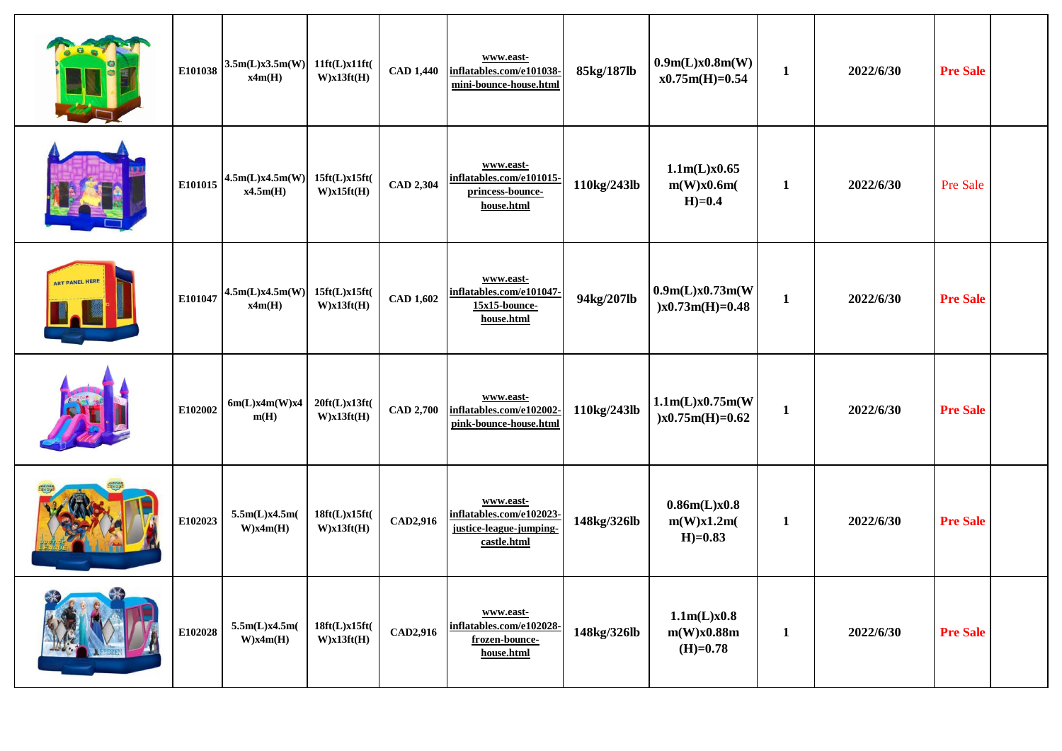|                       | E101038 | 3.5m(L)x3.5m(W)<br>x4m(H)   | 11ft(L)x11ft(<br>W)x13ft(H) | <b>CAD 1,440</b> | www.east-<br>inflatables.com/e101038-<br>mini-bounce-house.html                 | 85kg/187lb  | 0.9m(L)x0.8m(W)<br>$x0.75m(H)=0.54$     | $\mathbf{1}$ | 2022/6/30 | <b>Pre Sale</b> |  |
|-----------------------|---------|-----------------------------|-----------------------------|------------------|---------------------------------------------------------------------------------|-------------|-----------------------------------------|--------------|-----------|-----------------|--|
|                       | E101015 | 4.5m(L)x4.5m(W)<br>x4.5m(H) | 15ft(L)x15ft(<br>W)x15ft(H) | <b>CAD 2,304</b> | www.east-<br>inflatables.com/e101015-<br>princess-bounce-<br>house.html         | 110kg/243lb | 1.1m(L)x0.65<br>m(W)x0.6m(<br>$H)=0.4$  | $\mathbf{1}$ | 2022/6/30 | Pre Sale        |  |
| <b>ART PANEL HERE</b> | E101047 | 4.5m(L)x4.5m(W)<br>x4m(H)   | 15ft(L)x15ft(<br>W)x13ft(H) | <b>CAD 1,602</b> | www.east-<br>inflatables.com/e101047-<br>15x15-bounce-<br>house.html            | 94kg/207lb  | 0.9m(L)x0.73m(W)<br>$)x0.73m(H)=0.48$   | $\mathbf{1}$ | 2022/6/30 | <b>Pre Sale</b> |  |
|                       | E102002 | 6m(L)x4m(W)x4<br>m(H)       | 20ft(L)x13ft(<br>W)x13ft(H) | <b>CAD 2,700</b> | www.east-<br>inflatables.com/e102002-<br>pink-bounce-house.html                 | 110kg/243lb | 1.1m(L)x0.75m(W)<br>$)x0.75m(H)=0.62$   | $\mathbf{1}$ | 2022/6/30 | <b>Pre Sale</b> |  |
|                       | E102023 | 5.5m(L)x4.5m(<br>W)x4m(H)   | 18ft(L)x15ft(<br>W)x13ft(H) | CAD2,916         | www.east-<br>inflatables.com/e102023-<br>justice-league-jumping-<br>castle.html | 148kg/326lb | 0.86m(L)x0.8<br>m(W)x1.2m(<br>$H)=0.83$ | $\mathbf{1}$ | 2022/6/30 | <b>Pre Sale</b> |  |
|                       | E102028 | 5.5m(L)x4.5m(<br>W)x4m(H)   | 18ft(L)x15ft(<br>W)x13ft(H) | CAD2,916         | www.east-<br>inflatables.com/e102028-<br>frozen-bounce-<br>house.html           | 148kg/326lb | 1.1m(L)x0.8<br>m(W)x0.88m<br>$(H)=0.78$ | $\mathbf{1}$ | 2022/6/30 | <b>Pre Sale</b> |  |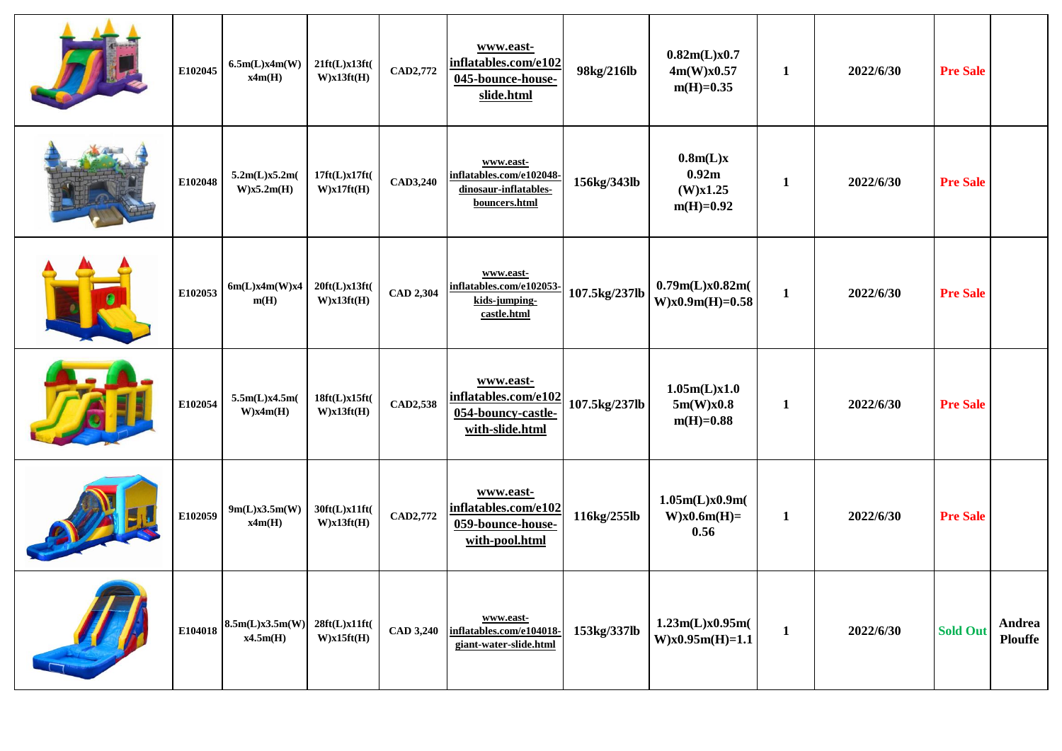|                | E102045 | 6.5m(L)x4m(W)<br>x4m(H)                 | 21ft(L)x13ft(<br>W)x13ft(H) | CAD2,772         | www.east-<br>inflatables.com/e102<br>045-bounce-house-<br>slide.html            | 98kg/216lb    | 0.82m(L)x0.7<br>4m(W)x0.57<br>$m(H)=0.35$    | $\mathbf{1}$ | 2022/6/30 | <b>Pre Sale</b> |                          |
|----------------|---------|-----------------------------------------|-----------------------------|------------------|---------------------------------------------------------------------------------|---------------|----------------------------------------------|--------------|-----------|-----------------|--------------------------|
|                | E102048 | 5.2m(L)x5.2m(<br>$W$ )x5.2m(H)          | 17ft(L)x17ft(<br>W)x17ft(H) | <b>CAD3,240</b>  | www.east-<br>inflatables.com/e102048-<br>dinosaur-inflatables-<br>bouncers.html | 156kg/343lb   | 0.8m(L)x<br>0.92m<br>(W)x1.25<br>$m(H)=0.92$ | $\mathbf{1}$ | 2022/6/30 | <b>Pre Sale</b> |                          |
|                | E102053 | 6m(L)x4m(W)x4<br>m(H)                   | 20ft(L)x13ft(<br>W)x13ft(H) | <b>CAD 2,304</b> | www.east-<br>inflatables.com/e102053-<br>kids-jumping-<br>castle.html           | 107.5kg/237lb | 0.79m(L)x0.82m(<br>$W$ )x $0.9m(H)=0.58$     | $\mathbf{1}$ | 2022/6/30 | <b>Pre Sale</b> |                          |
|                | E102054 | 5.5m(L)x4.5m(<br>W)x4m(H)               | 18ft(L)x15ft(<br>W)x13ft(H) | <b>CAD2,538</b>  | www.east-<br>inflatables.com/e102<br>054-bouncy-castle-<br>with-slide.html      | 107.5kg/237lb | 1.05m(L)x1.0<br>5m(W)x0.8<br>$m(H)=0.88$     | 1            | 2022/6/30 | <b>Pre Sale</b> |                          |
| <b>COLLEGE</b> | E102059 | 9m(L)x3.5m(W)<br>x4m(H)                 | 30ft(L)x11ft(<br>W)x13ft(H) | <b>CAD2,772</b>  | www.east-<br>inflatables.com/e102<br>059-bounce-house-<br>with-pool.html        | 116kg/255lb   | 1.05m(L)x0.9m(<br>$W$ )x $0.6m(H)$ =<br>0.56 | $\mathbf{1}$ | 2022/6/30 | <b>Pre Sale</b> |                          |
|                |         | E104018 $ 8.5m(L)x3.5m(W) $<br>x4.5m(H) | 28ft(L)x11ft(<br>W)x15ft(H) | <b>CAD 3,240</b> | www.east-<br>inflatables.com/e104018-<br>giant-water-slide.html                 | 153kg/337lb   | 1.23m(L)x0.95m(<br>$W$ )x $0.95m(H)=1.1$     | $\mathbf{1}$ | 2022/6/30 | <b>Sold Out</b> | Andrea<br><b>Plouffe</b> |